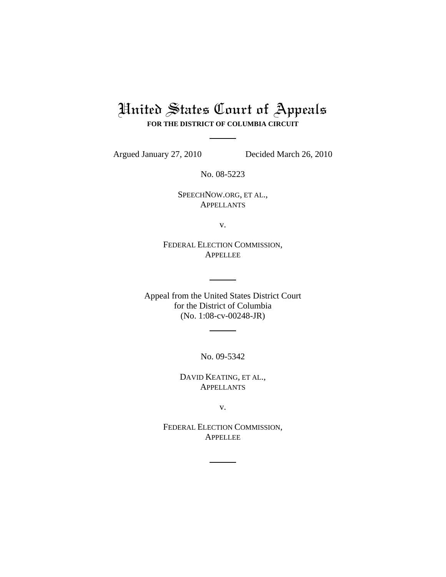# United States Court of Appeals **FOR THE DISTRICT OF COLUMBIA CIRCUIT**

Argued January 27, 2010 Decided March 26, 2010

No. 08-5223

SPEECHNOW.ORG, ET AL., APPELLANTS

v.

FEDERAL ELECTION COMMISSION, APPELLEE

Appeal from the United States District Court for the District of Columbia (No. 1:08-cv-00248-JR)

No. 09-5342

DAVID KEATING, ET AL., **APPELLANTS** 

v.

FEDERAL ELECTION COMMISSION, APPELLEE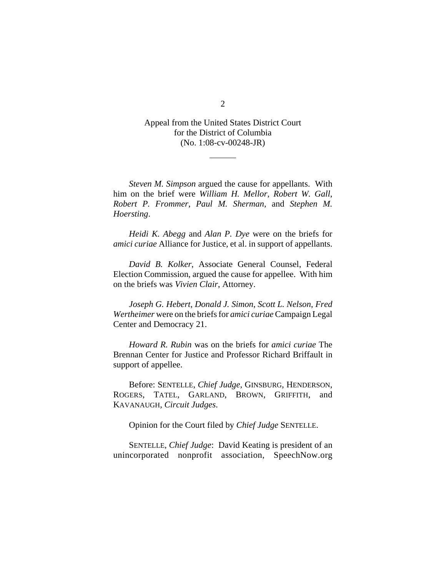Appeal from the United States District Court for the District of Columbia (No. 1:08-cv-00248-JR)

*Steven M. Simpson* argued the cause for appellants. With him on the brief were *William H. Mellor*, *Robert W. Gall*, *Robert P. Frommer*, *Paul M. Sherman*, and *Stephen M. Hoersting*.

*Heidi K. Abegg* and *Alan P. Dye* were on the briefs for *amici curiae* Alliance for Justice, et al. in support of appellants.

*David B. Kolker*, Associate General Counsel, Federal Election Commission, argued the cause for appellee. With him on the briefs was *Vivien Clair*, Attorney.

*Joseph G. Hebert*, *Donald J. Simon*, *Scott L. Nelson*, *Fred Wertheimer* were on the briefs for *amici curiae* Campaign Legal Center and Democracy 21.

*Howard R. Rubin* was on the briefs for *amici curiae* The Brennan Center for Justice and Professor Richard Briffault in support of appellee.

Before: SENTELLE, *Chief Judge*, GINSBURG, HENDERSON, ROGERS, TATEL, GARLAND, BROWN, GRIFFITH, and KAVANAUGH, *Circuit Judges*.

Opinion for the Court filed by *Chief Judge* SENTELLE.

SENTELLE, *Chief Judge*: David Keating is president of an unincorporated nonprofit association, SpeechNow.org

2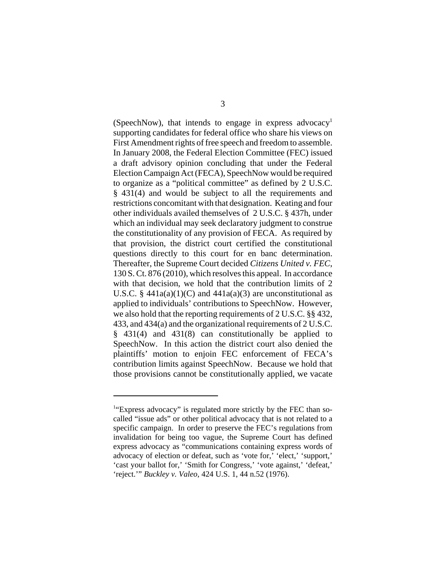(SpeechNow), that intends to engage in express advocacy<sup>1</sup> supporting candidates for federal office who share his views on First Amendment rights of free speech and freedom to assemble. In January 2008, the Federal Election Committee (FEC) issued a draft advisory opinion concluding that under the Federal Election Campaign Act (FECA), SpeechNow would be required to organize as a "political committee" as defined by 2 U.S.C. § 431(4) and would be subject to all the requirements and restrictions concomitant with that designation. Keating and four other individuals availed themselves of 2 U.S.C. § 437h, under which an individual may seek declaratory judgment to construe the constitutionality of any provision of FECA. As required by that provision, the district court certified the constitutional questions directly to this court for en banc determination. Thereafter, the Supreme Court decided *Citizens United v. FEC*, 130 S. Ct. 876 (2010), which resolves this appeal. In accordance with that decision, we hold that the contribution limits of 2 U.S.C. §  $441a(a)(1)(C)$  and  $441a(a)(3)$  are unconstitutional as applied to individuals' contributions to SpeechNow. However, we also hold that the reporting requirements of 2 U.S.C. §§ 432, 433, and 434(a) and the organizational requirements of 2 U.S.C. § 431(4) and 431(8) can constitutionally be applied to SpeechNow. In this action the district court also denied the plaintiffs' motion to enjoin FEC enforcement of FECA's contribution limits against SpeechNow. Because we hold that those provisions cannot be constitutionally applied, we vacate

<sup>&</sup>lt;sup>1</sup>"Express advocacy" is regulated more strictly by the FEC than socalled "issue ads" or other political advocacy that is not related to a specific campaign. In order to preserve the FEC's regulations from invalidation for being too vague, the Supreme Court has defined express advocacy as "communications containing express words of advocacy of election or defeat, such as 'vote for,' 'elect,' 'support,' 'cast your ballot for,' 'Smith for Congress,' 'vote against,' 'defeat,' 'reject.'" *Buckley v. Valeo*, 424 U.S. 1, 44 n.52 (1976).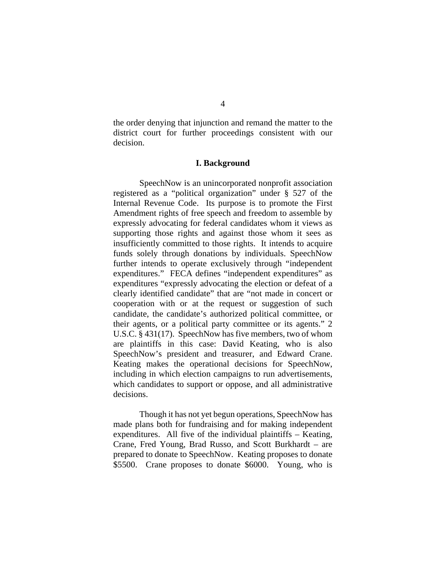the order denying that injunction and remand the matter to the district court for further proceedings consistent with our decision.

### **I. Background**

SpeechNow is an unincorporated nonprofit association registered as a "political organization" under § 527 of the Internal Revenue Code. Its purpose is to promote the First Amendment rights of free speech and freedom to assemble by expressly advocating for federal candidates whom it views as supporting those rights and against those whom it sees as insufficiently committed to those rights. It intends to acquire funds solely through donations by individuals. SpeechNow further intends to operate exclusively through "independent expenditures." FECA defines "independent expenditures" as expenditures "expressly advocating the election or defeat of a clearly identified candidate" that are "not made in concert or cooperation with or at the request or suggestion of such candidate, the candidate's authorized political committee, or their agents, or a political party committee or its agents." 2 U.S.C. § 431(17). SpeechNow has five members, two of whom are plaintiffs in this case: David Keating, who is also SpeechNow's president and treasurer, and Edward Crane. Keating makes the operational decisions for SpeechNow, including in which election campaigns to run advertisements, which candidates to support or oppose, and all administrative decisions.

Though it has not yet begun operations, SpeechNow has made plans both for fundraising and for making independent expenditures. All five of the individual plaintiffs – Keating, Crane, Fred Young, Brad Russo, and Scott Burkhardt – are prepared to donate to SpeechNow. Keating proposes to donate \$5500. Crane proposes to donate \$6000. Young, who is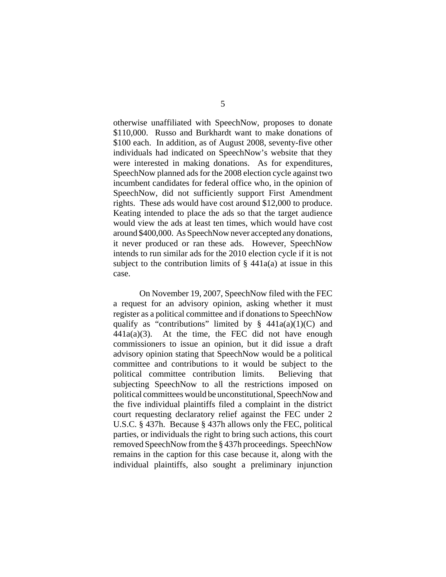otherwise unaffiliated with SpeechNow, proposes to donate \$110,000. Russo and Burkhardt want to make donations of \$100 each. In addition, as of August 2008, seventy-five other individuals had indicated on SpeechNow's website that they were interested in making donations. As for expenditures, SpeechNow planned ads for the 2008 election cycle against two incumbent candidates for federal office who, in the opinion of SpeechNow, did not sufficiently support First Amendment rights. These ads would have cost around \$12,000 to produce. Keating intended to place the ads so that the target audience would view the ads at least ten times, which would have cost around \$400,000. As SpeechNow never accepted any donations, it never produced or ran these ads. However, SpeechNow intends to run similar ads for the 2010 election cycle if it is not subject to the contribution limits of  $\S$  441a(a) at issue in this case.

On November 19, 2007, SpeechNow filed with the FEC a request for an advisory opinion, asking whether it must register as a political committee and if donations to SpeechNow qualify as "contributions" limited by  $\S$  441a(a)(1)(C) and  $441a(a)(3)$ . At the time, the FEC did not have enough commissioners to issue an opinion, but it did issue a draft advisory opinion stating that SpeechNow would be a political committee and contributions to it would be subject to the political committee contribution limits. Believing that subjecting SpeechNow to all the restrictions imposed on political committees would be unconstitutional, SpeechNow and the five individual plaintiffs filed a complaint in the district court requesting declaratory relief against the FEC under 2 U.S.C. § 437h. Because § 437h allows only the FEC, political parties, or individuals the right to bring such actions, this court removed SpeechNow from the § 437h proceedings. SpeechNow remains in the caption for this case because it, along with the individual plaintiffs, also sought a preliminary injunction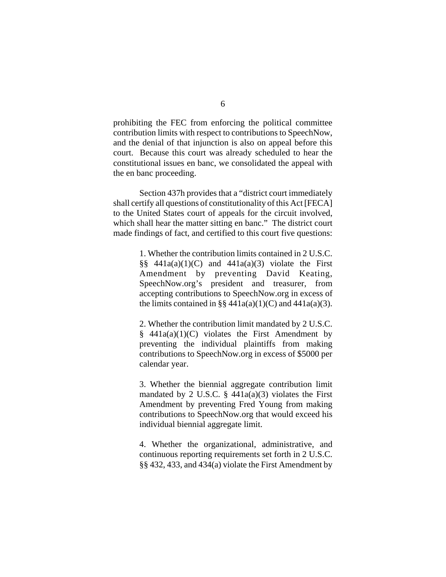prohibiting the FEC from enforcing the political committee contribution limits with respect to contributions to SpeechNow, and the denial of that injunction is also on appeal before this court. Because this court was already scheduled to hear the constitutional issues en banc, we consolidated the appeal with the en banc proceeding.

Section 437h provides that a "district court immediately shall certify all questions of constitutionality of this Act [FECA] to the United States court of appeals for the circuit involved, which shall hear the matter sitting en banc." The district court made findings of fact, and certified to this court five questions:

> 1. Whether the contribution limits contained in 2 U.S.C.  $\S$ § 441a(a)(1)(C) and 441a(a)(3) violate the First Amendment by preventing David Keating, SpeechNow.org's president and treasurer, from accepting contributions to SpeechNow.org in excess of the limits contained in §§  $441a(a)(1)(C)$  and  $441a(a)(3)$ .

> 2. Whether the contribution limit mandated by 2 U.S.C.  $§$  441a(a)(1)(C) violates the First Amendment by preventing the individual plaintiffs from making contributions to SpeechNow.org in excess of \$5000 per calendar year.

> 3. Whether the biennial aggregate contribution limit mandated by 2 U.S.C.  $\S$  441a(a)(3) violates the First Amendment by preventing Fred Young from making contributions to SpeechNow.org that would exceed his individual biennial aggregate limit.

> 4. Whether the organizational, administrative, and continuous reporting requirements set forth in 2 U.S.C. §§ 432, 433, and 434(a) violate the First Amendment by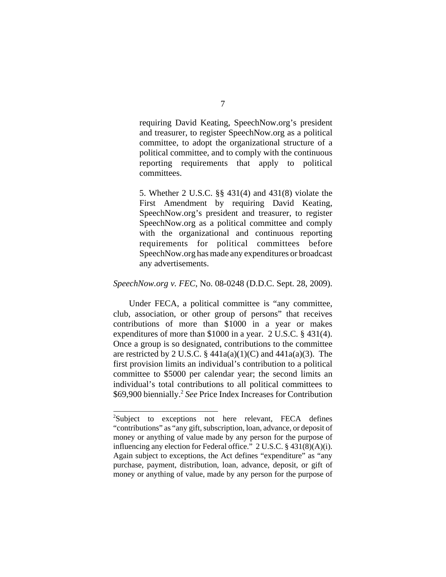requiring David Keating, SpeechNow.org's president and treasurer, to register SpeechNow.org as a political committee, to adopt the organizational structure of a political committee, and to comply with the continuous reporting requirements that apply to political committees.

5. Whether 2 U.S.C. §§ 431(4) and 431(8) violate the First Amendment by requiring David Keating, SpeechNow.org's president and treasurer, to register SpeechNow.org as a political committee and comply with the organizational and continuous reporting requirements for political committees before SpeechNow.org has made any expenditures or broadcast any advertisements.

#### *SpeechNow.org v. FEC*, No. 08-0248 (D.D.C. Sept. 28, 2009).

Under FECA, a political committee is "any committee, club, association, or other group of persons" that receives contributions of more than \$1000 in a year or makes expenditures of more than \$1000 in a year. 2 U.S.C. § 431(4). Once a group is so designated, contributions to the committee are restricted by 2 U.S.C.  $\S$  441a(a)(1)(C) and 441a(a)(3). The first provision limits an individual's contribution to a political committee to \$5000 per calendar year; the second limits an individual's total contributions to all political committees to \$69,900 biennially.2 *See* Price Index Increases for Contribution

<sup>&</sup>lt;sup>2</sup>Subject to exceptions not here relevant, FECA defines "contributions" as "any gift, subscription, loan, advance, or deposit of money or anything of value made by any person for the purpose of influencing any election for Federal office." 2 U.S.C. § 431(8)(A)(i). Again subject to exceptions, the Act defines "expenditure" as "any purchase, payment, distribution, loan, advance, deposit, or gift of money or anything of value, made by any person for the purpose of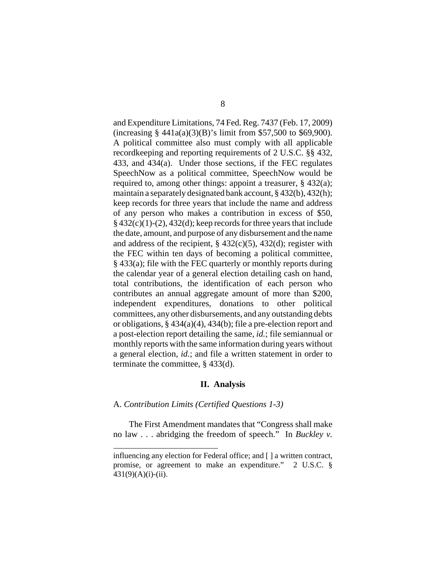and Expenditure Limitations, 74 Fed. Reg. 7437 (Feb. 17, 2009) (increasing § 441a(a)(3)(B)'s limit from \$57,500 to \$69,900). A political committee also must comply with all applicable recordkeeping and reporting requirements of 2 U.S.C. §§ 432, 433, and 434(a). Under those sections, if the FEC regulates SpeechNow as a political committee, SpeechNow would be required to, among other things: appoint a treasurer, § 432(a); maintain a separately designated bank account, § 432(b), 432(h); keep records for three years that include the name and address of any person who makes a contribution in excess of \$50,  $§$  432(c)(1)-(2), 432(d); keep records for three years that include the date, amount, and purpose of any disbursement and the name and address of the recipient,  $\S$  432(c)(5), 432(d); register with the FEC within ten days of becoming a political committee, § 433(a); file with the FEC quarterly or monthly reports during the calendar year of a general election detailing cash on hand, total contributions, the identification of each person who contributes an annual aggregate amount of more than \$200, independent expenditures, donations to other political committees, any other disbursements, and any outstanding debts or obligations, § 434(a)(4), 434(b); file a pre-election report and a post-election report detailing the same, *id.*; file semiannual or monthly reports with the same information during years without a general election, *id.*; and file a written statement in order to terminate the committee, § 433(d).

# **II. Analysis**

## A. *Contribution Limits (Certified Questions 1-3)*

The First Amendment mandates that "Congress shall make no law . . . abridging the freedom of speech." In *Buckley v.*

influencing any election for Federal office; and [ ] a written contract, promise, or agreement to make an expenditure." 2 U.S.C. §  $431(9)(A)(i)-(ii)$ .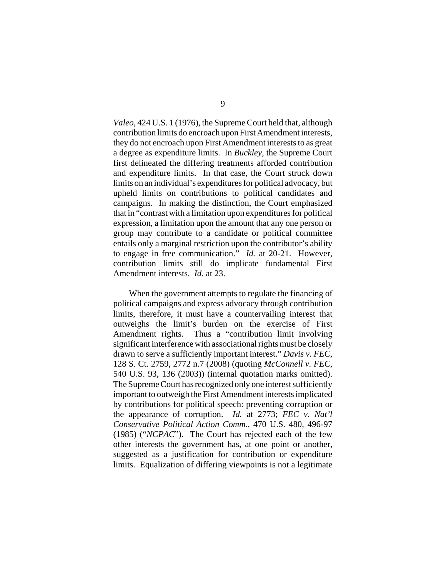*Valeo*, 424 U.S. 1 (1976), the Supreme Court held that, although contribution limits do encroach upon First Amendment interests, they do not encroach upon First Amendment interests to as great a degree as expenditure limits. In *Buckley*, the Supreme Court first delineated the differing treatments afforded contribution and expenditure limits. In that case, the Court struck down limits on an individual's expenditures for political advocacy, but upheld limits on contributions to political candidates and campaigns. In making the distinction, the Court emphasized that in "contrast with a limitation upon expenditures for political expression, a limitation upon the amount that any one person or group may contribute to a candidate or political committee entails only a marginal restriction upon the contributor's ability to engage in free communication." *Id.* at 20-21. However, contribution limits still do implicate fundamental First Amendment interests. *Id.* at 23.

When the government attempts to regulate the financing of political campaigns and express advocacy through contribution limits, therefore, it must have a countervailing interest that outweighs the limit's burden on the exercise of First Amendment rights. Thus a "contribution limit involving significant interference with associational rights must be closely drawn to serve a sufficiently important interest." *Davis v. FEC*, 128 S. Ct. 2759, 2772 n.7 (2008) (quoting *McConnell v. FEC*, 540 U.S. 93, 136 (2003)) (internal quotation marks omitted). The Supreme Court has recognized only one interest sufficiently important to outweigh the First Amendment interests implicated by contributions for political speech: preventing corruption or the appearance of corruption. *Id.* at 2773; *FEC v. Nat'l Conservative Political Action Comm.*, 470 U.S. 480, 496-97 (1985) ("*NCPAC*"). The Court has rejected each of the few other interests the government has, at one point or another, suggested as a justification for contribution or expenditure limits. Equalization of differing viewpoints is not a legitimate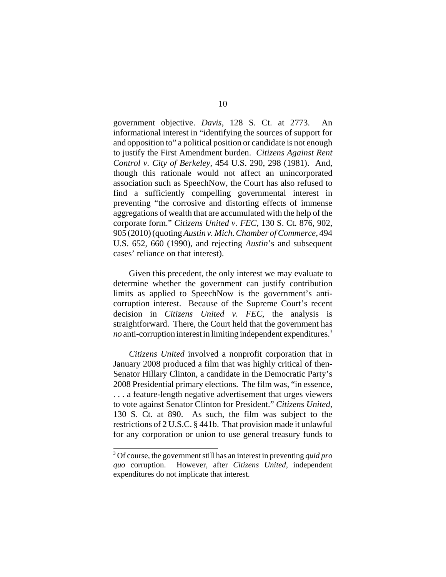government objective. *Davis*, 128 S. Ct. at 2773. An informational interest in "identifying the sources of support for and opposition to" a political position or candidate is not enough to justify the First Amendment burden. *Citizens Against Rent Control v. City of Berkeley*, 454 U.S. 290, 298 (1981). And, though this rationale would not affect an unincorporated association such as SpeechNow, the Court has also refused to find a sufficiently compelling governmental interest in preventing "the corrosive and distorting effects of immense aggregations of wealth that are accumulated with the help of the corporate form." *Citizens United v. FEC*, 130 S. Ct. 876, 902, 905 (2010) (quoting *Austin v. Mich. Chamber of Commerce*, 494 U.S. 652, 660 (1990), and rejecting *Austin*'s and subsequent cases' reliance on that interest).

Given this precedent, the only interest we may evaluate to determine whether the government can justify contribution limits as applied to SpeechNow is the government's anticorruption interest. Because of the Supreme Court's recent decision in *Citizens United v. FEC*, the analysis is straightforward. There, the Court held that the government has *no* anti-corruption interest in limiting independent expenditures.<sup>3</sup>

*Citizens United* involved a nonprofit corporation that in January 2008 produced a film that was highly critical of then-Senator Hillary Clinton, a candidate in the Democratic Party's 2008 Presidential primary elections. The film was, "in essence, . . . a feature-length negative advertisement that urges viewers to vote against Senator Clinton for President." *Citizens United*, 130 S. Ct. at 890. As such, the film was subject to the restrictions of 2 U.S.C. § 441b. That provision made it unlawful for any corporation or union to use general treasury funds to

<sup>3</sup> Of course, the government still has an interest in preventing *quid pro quo* corruption. However, after *Citizens United*, independent expenditures do not implicate that interest.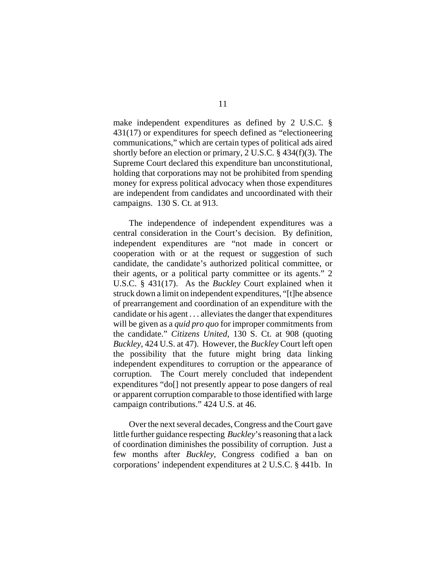make independent expenditures as defined by 2 U.S.C. § 431(17) or expenditures for speech defined as "electioneering communications," which are certain types of political ads aired shortly before an election or primary, 2 U.S.C. § 434(f)(3). The Supreme Court declared this expenditure ban unconstitutional, holding that corporations may not be prohibited from spending money for express political advocacy when those expenditures are independent from candidates and uncoordinated with their campaigns. 130 S. Ct. at 913.

The independence of independent expenditures was a central consideration in the Court's decision. By definition, independent expenditures are "not made in concert or cooperation with or at the request or suggestion of such candidate, the candidate's authorized political committee, or their agents, or a political party committee or its agents." 2 U.S.C. § 431(17). As the *Buckley* Court explained when it struck down a limit on independent expenditures, "[t]he absence of prearrangement and coordination of an expenditure with the candidate or his agent . . . alleviates the danger that expenditures will be given as a *quid pro quo* for improper commitments from the candidate." *Citizens United*, 130 S. Ct. at 908 (quoting *Buckley*, 424 U.S. at 47). However, the *Buckley* Court left open the possibility that the future might bring data linking independent expenditures to corruption or the appearance of corruption. The Court merely concluded that independent expenditures "do[] not presently appear to pose dangers of real or apparent corruption comparable to those identified with large campaign contributions." 424 U.S. at 46.

Over the next several decades, Congress and the Court gave little further guidance respecting *Buckley*'s reasoning that a lack of coordination diminishes the possibility of corruption. Just a few months after *Buckley*, Congress codified a ban on corporations' independent expenditures at 2 U.S.C. § 441b. In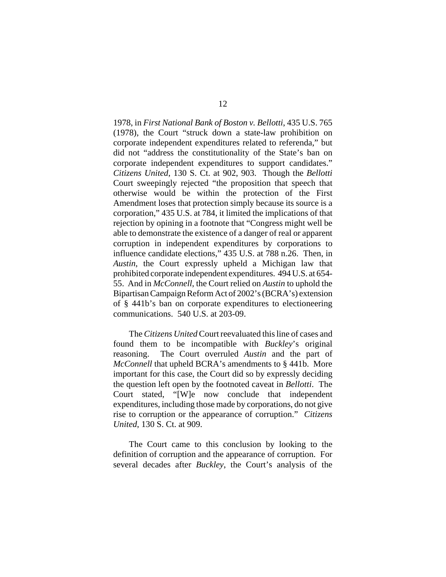1978, in *First National Bank of Boston v. Bellotti*, 435 U.S. 765 (1978), the Court "struck down a state-law prohibition on corporate independent expenditures related to referenda," but did not "address the constitutionality of the State's ban on corporate independent expenditures to support candidates." *Citizens United*, 130 S. Ct. at 902, 903. Though the *Bellotti* Court sweepingly rejected "the proposition that speech that otherwise would be within the protection of the First Amendment loses that protection simply because its source is a corporation," 435 U.S. at 784, it limited the implications of that rejection by opining in a footnote that "Congress might well be able to demonstrate the existence of a danger of real or apparent corruption in independent expenditures by corporations to influence candidate elections," 435 U.S. at 788 n.26. Then, in *Austin*, the Court expressly upheld a Michigan law that prohibited corporate independent expenditures. 494 U.S. at 654- 55. And in *McConnell*, the Court relied on *Austin* to uphold the Bipartisan Campaign Reform Act of 2002's (BCRA's) extension of § 441b's ban on corporate expenditures to electioneering communications. 540 U.S. at 203-09.

The *Citizens United* Court reevaluated this line of cases and found them to be incompatible with *Buckley*'s original reasoning. The Court overruled *Austin* and the part of *McConnell* that upheld BCRA's amendments to § 441b. More important for this case, the Court did so by expressly deciding the question left open by the footnoted caveat in *Bellotti*. The Court stated, "[W]e now conclude that independent expenditures, including those made by corporations, do not give rise to corruption or the appearance of corruption." *Citizens United*, 130 S. Ct. at 909.

The Court came to this conclusion by looking to the definition of corruption and the appearance of corruption. For several decades after *Buckley*, the Court's analysis of the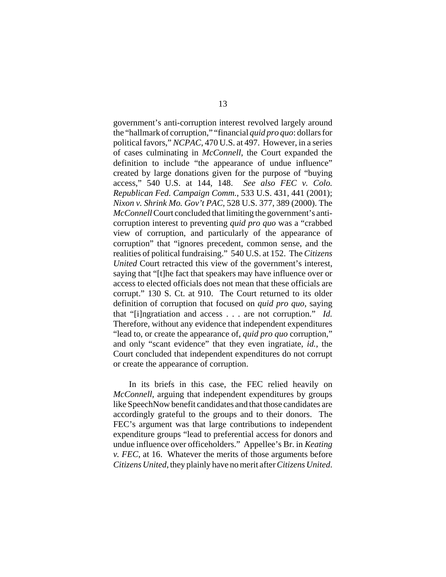government's anti-corruption interest revolved largely around the "hallmark of corruption," "financial *quid pro quo*: dollars for political favors," *NCPAC*, 470 U.S. at 497. However, in a series of cases culminating in *McConnell*, the Court expanded the definition to include "the appearance of undue influence" created by large donations given for the purpose of "buying access," 540 U.S. at 144, 148. *See also FEC v. Colo. Republican Fed. Campaign Comm.*, 533 U.S. 431, 441 (2001); *Nixon v. Shrink Mo. Gov't PAC*, 528 U.S. 377, 389 (2000). The *McConnell* Court concluded that limiting the government's anticorruption interest to preventing *quid pro quo* was a "crabbed view of corruption, and particularly of the appearance of corruption" that "ignores precedent, common sense, and the realities of political fundraising." 540 U.S. at 152. The *Citizens United* Court retracted this view of the government's interest, saying that "[t]he fact that speakers may have influence over or access to elected officials does not mean that these officials are corrupt." 130 S. Ct. at 910. The Court returned to its older definition of corruption that focused on *quid pro quo*, saying that "[i]ngratiation and access . . . are not corruption." *Id.* Therefore, without any evidence that independent expenditures "lead to, or create the appearance of, *quid pro quo* corruption," and only "scant evidence" that they even ingratiate, *id.*, the Court concluded that independent expenditures do not corrupt or create the appearance of corruption.

In its briefs in this case, the FEC relied heavily on *McConnell*, arguing that independent expenditures by groups like SpeechNow benefit candidates and that those candidates are accordingly grateful to the groups and to their donors. The FEC's argument was that large contributions to independent expenditure groups "lead to preferential access for donors and undue influence over officeholders." Appellee's Br. in *Keating v. FEC*, at 16. Whatever the merits of those arguments before *Citizens United*, they plainly have no merit after *Citizens United*.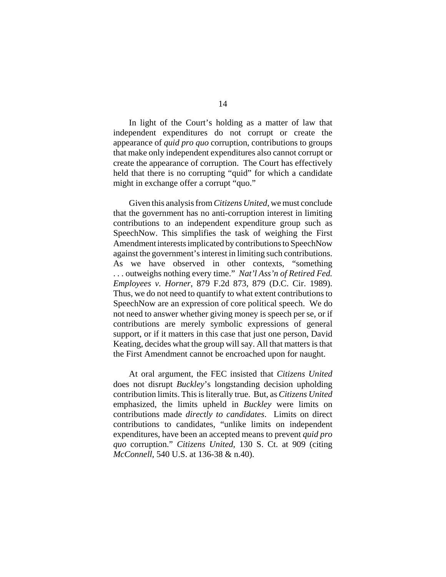In light of the Court's holding as a matter of law that independent expenditures do not corrupt or create the appearance of *quid pro quo* corruption, contributions to groups that make only independent expenditures also cannot corrupt or create the appearance of corruption. The Court has effectively held that there is no corrupting "quid" for which a candidate might in exchange offer a corrupt "quo."

Given this analysis from *Citizens United*, we must conclude that the government has no anti-corruption interest in limiting contributions to an independent expenditure group such as SpeechNow. This simplifies the task of weighing the First Amendment interests implicated by contributions to SpeechNow against the government's interest in limiting such contributions. As we have observed in other contexts, "something . . . outweighs nothing every time." *Nat'l Ass'n of Retired Fed. Employees v. Horner*, 879 F.2d 873, 879 (D.C. Cir. 1989). Thus, we do not need to quantify to what extent contributions to SpeechNow are an expression of core political speech. We do not need to answer whether giving money is speech per se, or if contributions are merely symbolic expressions of general support, or if it matters in this case that just one person, David Keating, decides what the group will say. All that matters is that the First Amendment cannot be encroached upon for naught.

At oral argument, the FEC insisted that *Citizens United* does not disrupt *Buckley*'s longstanding decision upholding contribution limits. This is literally true. But, as *Citizens United* emphasized, the limits upheld in *Buckley* were limits on contributions made *directly to candidates*. Limits on direct contributions to candidates, "unlike limits on independent expenditures, have been an accepted means to prevent *quid pro quo* corruption." *Citizens United*, 130 S. Ct. at 909 (citing *McConnell*, 540 U.S. at 136-38 & n.40).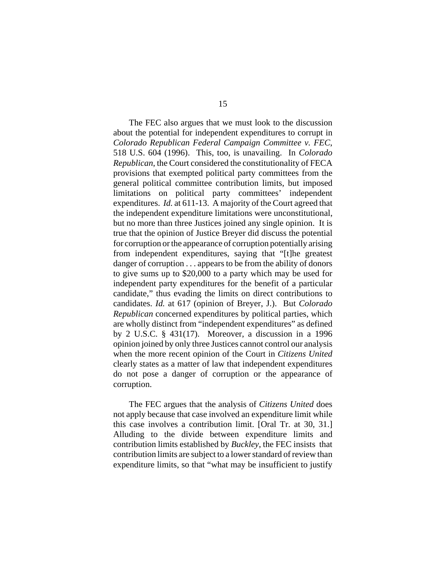The FEC also argues that we must look to the discussion about the potential for independent expenditures to corrupt in *Colorado Republican Federal Campaign Committee v. FEC*, 518 U.S. 604 (1996). This, too, is unavailing. In *Colorado Republican*, the Court considered the constitutionality of FECA provisions that exempted political party committees from the general political committee contribution limits, but imposed limitations on political party committees' independent expenditures. *Id.* at 611-13. A majority of the Court agreed that the independent expenditure limitations were unconstitutional, but no more than three Justices joined any single opinion. It is true that the opinion of Justice Breyer did discuss the potential for corruption or the appearance of corruption potentially arising from independent expenditures, saying that "[t]he greatest danger of corruption . . . appears to be from the ability of donors to give sums up to \$20,000 to a party which may be used for independent party expenditures for the benefit of a particular candidate," thus evading the limits on direct contributions to candidates. *Id.* at 617 (opinion of Breyer, J.). But *Colorado Republican* concerned expenditures by political parties, which are wholly distinct from "independent expenditures" as defined by 2 U.S.C. § 431(17). Moreover, a discussion in a 1996 opinion joined by only three Justices cannot control our analysis when the more recent opinion of the Court in *Citizens United* clearly states as a matter of law that independent expenditures do not pose a danger of corruption or the appearance of corruption.

The FEC argues that the analysis of *Citizens United* does not apply because that case involved an expenditure limit while this case involves a contribution limit. [Oral Tr. at 30, 31.] Alluding to the divide between expenditure limits and contribution limits established by *Buckley*, the FEC insists that contribution limits are subject to a lower standard of review than expenditure limits, so that "what may be insufficient to justify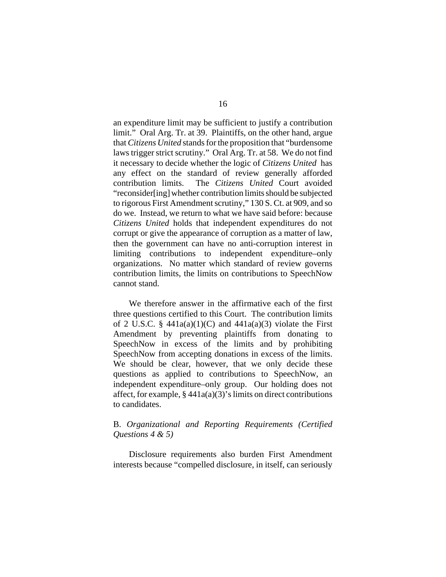an expenditure limit may be sufficient to justify a contribution limit." Oral Arg. Tr. at 39. Plaintiffs, on the other hand, argue that *Citizens United* stands for the proposition that "burdensome laws trigger strict scrutiny." Oral Arg. Tr. at 58. We do not find it necessary to decide whether the logic of *Citizens United* has any effect on the standard of review generally afforded contribution limits. The *Citizens United* Court avoided "reconsider[ing] whether contribution limits should be subjected to rigorous First Amendment scrutiny," 130 S. Ct. at 909, and so do we. Instead, we return to what we have said before: because *Citizens United* holds that independent expenditures do not corrupt or give the appearance of corruption as a matter of law, then the government can have no anti-corruption interest in limiting contributions to independent expenditure–only organizations. No matter which standard of review governs contribution limits, the limits on contributions to SpeechNow cannot stand.

We therefore answer in the affirmative each of the first three questions certified to this Court. The contribution limits of 2 U.S.C. §  $441a(a)(1)(C)$  and  $441a(a)(3)$  violate the First Amendment by preventing plaintiffs from donating to SpeechNow in excess of the limits and by prohibiting SpeechNow from accepting donations in excess of the limits. We should be clear, however, that we only decide these questions as applied to contributions to SpeechNow, an independent expenditure–only group. Our holding does not affect, for example,  $\S 441a(a)(3)'$  s limits on direct contributions to candidates.

# B. *Organizational and Reporting Requirements (Certified Questions 4 & 5)*

Disclosure requirements also burden First Amendment interests because "compelled disclosure, in itself, can seriously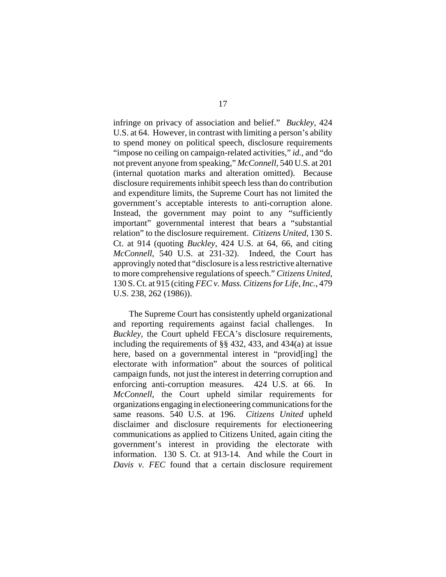infringe on privacy of association and belief." *Buckley*, 424 U.S. at 64. However, in contrast with limiting a person's ability to spend money on political speech, disclosure requirements "impose no ceiling on campaign-related activities," *id.*, and "do not prevent anyone from speaking," *McConnell*, 540 U.S. at 201 (internal quotation marks and alteration omitted). Because disclosure requirements inhibit speech less than do contribution and expenditure limits, the Supreme Court has not limited the government's acceptable interests to anti-corruption alone. Instead, the government may point to any "sufficiently important" governmental interest that bears a "substantial relation" to the disclosure requirement. *Citizens United*, 130 S. Ct. at 914 (quoting *Buckley*, 424 U.S. at 64, 66, and citing *McConnell*, 540 U.S. at 231-32). Indeed, the Court has approvingly noted that "disclosure is a less restrictive alternative to more comprehensive regulations of speech." *Citizens United*, 130 S. Ct. at 915 (citing *FEC v. Mass. Citizens for Life, Inc.*, 479 U.S. 238, 262 (1986)).

The Supreme Court has consistently upheld organizational and reporting requirements against facial challenges. In *Buckley*, the Court upheld FECA's disclosure requirements, including the requirements of §§ 432, 433, and 434(a) at issue here, based on a governmental interest in "provid[ing] the electorate with information" about the sources of political campaign funds, not just the interest in deterring corruption and enforcing anti-corruption measures. 424 U.S. at 66. In *McConnell*, the Court upheld similar requirements for organizations engaging in electioneering communications for the same reasons. 540 U.S. at 196. *Citizens United* upheld disclaimer and disclosure requirements for electioneering communications as applied to Citizens United, again citing the government's interest in providing the electorate with information. 130 S. Ct. at 913-14. And while the Court in *Davis v. FEC* found that a certain disclosure requirement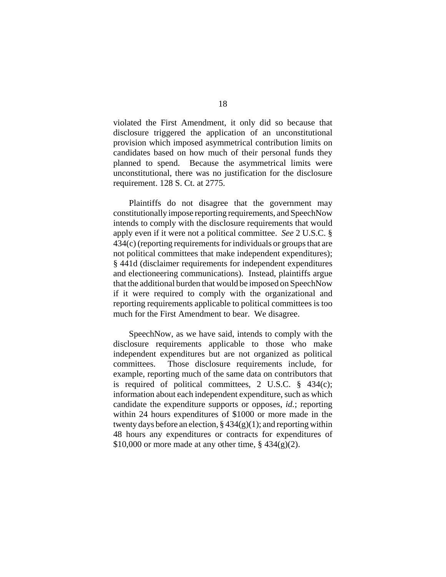violated the First Amendment, it only did so because that disclosure triggered the application of an unconstitutional provision which imposed asymmetrical contribution limits on candidates based on how much of their personal funds they planned to spend. Because the asymmetrical limits were unconstitutional, there was no justification for the disclosure requirement. 128 S. Ct. at 2775.

Plaintiffs do not disagree that the government may constitutionally impose reporting requirements, and SpeechNow intends to comply with the disclosure requirements that would apply even if it were not a political committee. *See* 2 U.S.C. § 434(c) (reporting requirements for individuals or groups that are not political committees that make independent expenditures); § 441d (disclaimer requirements for independent expenditures and electioneering communications). Instead, plaintiffs argue that the additional burden that would be imposed on SpeechNow if it were required to comply with the organizational and reporting requirements applicable to political committees is too much for the First Amendment to bear. We disagree.

SpeechNow, as we have said, intends to comply with the disclosure requirements applicable to those who make independent expenditures but are not organized as political committees. Those disclosure requirements include, for example, reporting much of the same data on contributors that is required of political committees, 2 U.S.C. § 434(c); information about each independent expenditure, such as which candidate the expenditure supports or opposes, *id.*; reporting within 24 hours expenditures of \$1000 or more made in the twenty days before an election,  $\S 434(g)(1)$ ; and reporting within 48 hours any expenditures or contracts for expenditures of  $$10,000$  or more made at any other time,  $$434(g)(2)$ .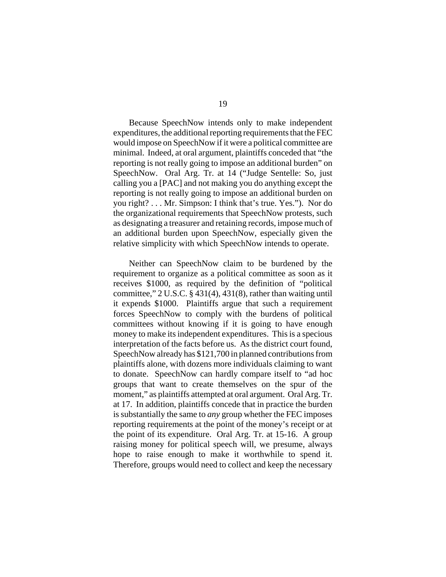Because SpeechNow intends only to make independent expenditures, the additional reporting requirements that the FEC would impose on SpeechNow if it were a political committee are minimal. Indeed, at oral argument, plaintiffs conceded that "the reporting is not really going to impose an additional burden" on SpeechNow. Oral Arg. Tr. at 14 ("Judge Sentelle: So, just calling you a [PAC] and not making you do anything except the reporting is not really going to impose an additional burden on you right? . . . Mr. Simpson: I think that's true. Yes."). Nor do the organizational requirements that SpeechNow protests, such as designating a treasurer and retaining records, impose much of an additional burden upon SpeechNow, especially given the relative simplicity with which SpeechNow intends to operate.

Neither can SpeechNow claim to be burdened by the requirement to organize as a political committee as soon as it receives \$1000, as required by the definition of "political committee," 2 U.S.C. § 431(4), 431(8), rather than waiting until it expends \$1000. Plaintiffs argue that such a requirement forces SpeechNow to comply with the burdens of political committees without knowing if it is going to have enough money to make its independent expenditures. This is a specious interpretation of the facts before us. As the district court found, SpeechNow already has \$121,700 in planned contributions from plaintiffs alone, with dozens more individuals claiming to want to donate. SpeechNow can hardly compare itself to "ad hoc groups that want to create themselves on the spur of the moment," as plaintiffs attempted at oral argument. Oral Arg. Tr. at 17. In addition, plaintiffs concede that in practice the burden is substantially the same to *any* group whether the FEC imposes reporting requirements at the point of the money's receipt or at the point of its expenditure. Oral Arg. Tr. at 15-16. A group raising money for political speech will, we presume, always hope to raise enough to make it worthwhile to spend it. Therefore, groups would need to collect and keep the necessary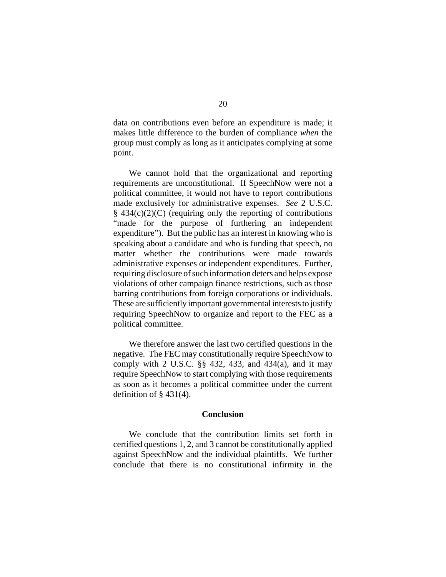data on contributions even before an expenditure is made; it makes little difference to the burden of compliance *when* the group must comply as long as it anticipates complying at some point.

We cannot hold that the organizational and reporting requirements are unconstitutional. If SpeechNow were not a political committee, it would not have to report contributions made exclusively for administrative expenses. *See* 2 U.S.C.  $§$  434(c)(2)(C) (requiring only the reporting of contributions "made for the purpose of furthering an independent expenditure"). But the public has an interest in knowing who is speaking about a candidate and who is funding that speech, no matter whether the contributions were made towards administrative expenses or independent expenditures. Further, requiring disclosure of such information deters and helps expose violations of other campaign finance restrictions, such as those barring contributions from foreign corporations or individuals. These are sufficiently important governmental interests to justify requiring SpeechNow to organize and report to the FEC as a political committee.

We therefore answer the last two certified questions in the negative. The FEC may constitutionally require SpeechNow to comply with 2 U.S.C. §§ 432, 433, and 434(a), and it may require SpeechNow to start complying with those requirements as soon as it becomes a political committee under the current definition of  $\S$  431(4).

### **Conclusion**

We conclude that the contribution limits set forth in certified questions 1, 2, and 3 cannot be constitutionally applied against SpeechNow and the individual plaintiffs. We further conclude that there is no constitutional infirmity in the